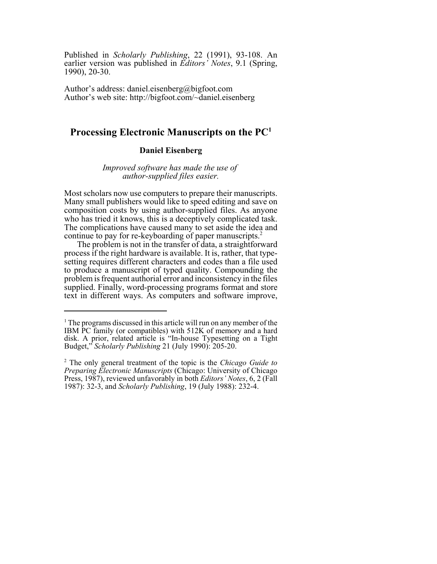Published in *Scholarly Publishing*, 22 (1991), 93-108. An earlier version was published in *Editors' Notes*, 9.1 (Spring, 1990), 20-30.

Author's address: daniel.eisenberg@bigfoot.com Author's web site: http://bigfoot.com/~daniel.eisenberg

# **Processing Electronic Manuscripts on the PC1**

# **Daniel Eisenberg**

*Improved software has made the use of author-supplied files easier.*

Most scholars now use computers to prepare their manuscripts. Many small publishers would like to speed editing and save on composition costs by using author-supplied files. As anyone who has tried it knows, this is a deceptively complicated task. The complications have caused many to set aside the idea and continue to pay for re-keyboarding of paper manuscripts.<sup>2</sup>

The problem is not in the transfer of data, a straightforward process if the right hardware is available. It is, rather, that typesetting requires different characters and codes than a file used to produce a manuscript of typed quality. Compounding the problem is frequent authorial error and inconsistency in the files supplied. Finally, word-processing programs format and store text in different ways. As computers and software improve,

<sup>&</sup>lt;sup>1</sup> The programs discussed in this article will run on any member of the IBM PC family (or compatibles) with 512K of memory and a hard disk. A prior, related article is "In-house Typesetting on a Tight Budget," *Scholarly Publishing* 21 (July 1990): 205-20.

<sup>2</sup> The only general treatment of the topic is the *Chicago Guide to Preparing Electronic Manuscripts* (Chicago: University of Chicago Press, 1987), reviewed unfavorably in both *Editors' Notes*, 6, 2 (Fall 1987): 32-3, and *Scholarly Publishing*, 19 (July 1988): 232-4.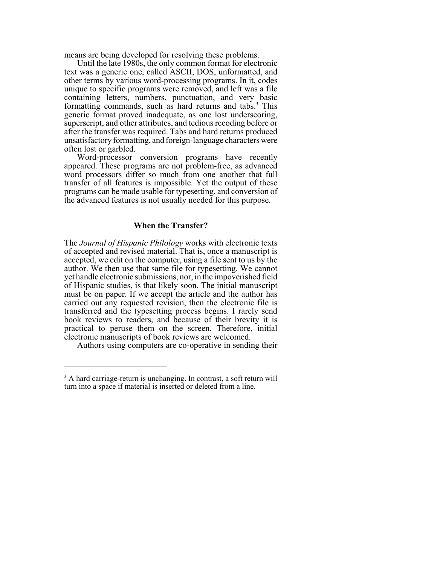means are being developed for resolving these problems.

Until the late 1980s, the only common format for electronic text was a generic one, called ASCII, DOS, unformatted, and other terms by various word-processing programs. In it, codes unique to specific programs were removed, and left was a file containing letters, numbers, punctuation, and very basic formatting commands, such as hard returns and tabs.<sup>3</sup> This generic format proved inadequate, as one lost underscoring, superscript, and other attributes, and tedious recoding before or after the transfer was required. Tabs and hard returns produced unsatisfactory formatting, and foreign-language characters were often lost or garbled.

Word-processor conversion programs have recently appeared. These programs are not problem-free, as advanced word processors differ so much from one another that full transfer of all features is impossible. Yet the output of these programs can be made usable for typesetting, and conversion of the advanced features is not usually needed for this purpose.

### **When the Transfer?**

The *Journal of Hispanic Philology* works with electronic texts of accepted and revised material. That is, once a manuscript is accepted, we edit on the computer, using a file sent to us by the author. We then use that same file for typesetting. We cannot yet handle electronic submissions, nor, in the impoverished field of Hispanic studies, is that likely soon. The initial manuscript must be on paper. If we accept the article and the author has carried out any requested revision, then the electronic file is transferred and the typesetting process begins. I rarely send book reviews to readers, and because of their brevity it is practical to peruse them on the screen. Therefore, initial electronic manuscripts of book reviews are welcomed.

Authors using computers are co-operative in sending their

<sup>&</sup>lt;sup>3</sup> A hard carriage-return is unchanging. In contrast, a soft return will turn into a space if material is inserted or deleted from a line.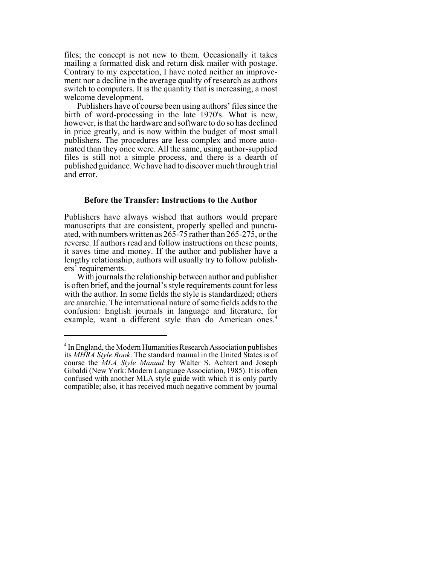files; the concept is not new to them. Occasionally it takes mailing a formatted disk and return disk mailer with postage. Contrary to my expectation, I have noted neither an improvement nor a decline in the average quality of research as authors switch to computers. It is the quantity that is increasing, a most welcome development.

Publishers have of course been using authors' files since the birth of word-processing in the late 1970's. What is new, however, is that the hardware and software to do so has declined in price greatly, and is now within the budget of most small publishers. The procedures are less complex and more automated than they once were. All the same, using author-supplied files is still not a simple process, and there is a dearth of published guidance. We have had to discover much through trial and error.

#### **Before the Transfer: Instructions to the Author**

Publishers have always wished that authors would prepare manuscripts that are consistent, properly spelled and punctuated, with numbers written as 265-75 rather than 265-275, or the reverse. If authors read and follow instructions on these points, it saves time and money. If the author and publisher have a lengthy relationship, authors will usually try to follow publishers' requirements.

With journals the relationship between author and publisher is often brief, and the journal's style requirements count for less with the author. In some fields the style is standardized; others are anarchic. The international nature of some fields adds to the confusion: English journals in language and literature, for example, want a different style than do American ones.<sup>4</sup>

<sup>&</sup>lt;sup>4</sup> In England, the Modern Humanities Research Association publishes its *MHRA Style Book*. The standard manual in the United States is of course the *MLA Style Manual* by Walter S. Achtert and Joseph Gibaldi (New York: Modern Language Association, 1985). It is often confused with another MLA style guide with which it is only partly compatible; also, it has received much negative comment by journal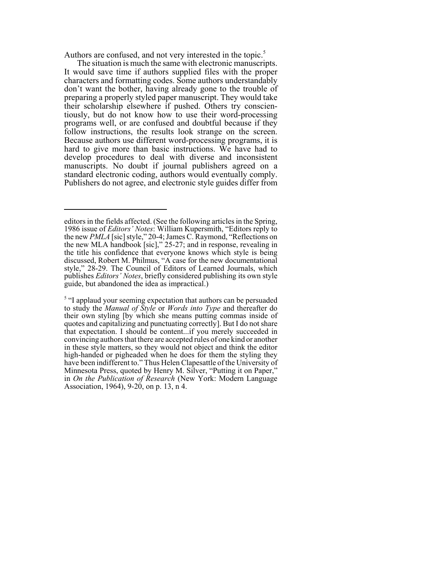Authors are confused, and not very interested in the topic.<sup>5</sup>

The situation is much the same with electronic manuscripts. It would save time if authors supplied files with the proper characters and formatting codes. Some authors understandably don't want the bother, having already gone to the trouble of preparing a properly styled paper manuscript. They would take their scholarship elsewhere if pushed. Others try conscientiously, but do not know how to use their word-processing programs well, or are confused and doubtful because if they follow instructions, the results look strange on the screen. Because authors use different word-processing programs, it is hard to give more than basic instructions. We have had to develop procedures to deal with diverse and inconsistent manuscripts. No doubt if journal publishers agreed on a standard electronic coding, authors would eventually comply. Publishers do not agree, and electronic style guides differ from

editors in the fields affected. (See the following articles in the Spring, 1986 issue of *Editors' Notes*: William Kupersmith, "Editors reply to the new *PMLA* [sic] style," 20-4; James C. Raymond, "Reflections on the new MLA handbook [sic]," 25-27; and in response, revealing in the title his confidence that everyone knows which style is being discussed, Robert M. Philmus, "A case for the new documentational style," 28-29. The Council of Editors of Learned Journals, which publishes *Editors' Notes*, briefly considered publishing its own style guide, but abandoned the idea as impractical.)

<sup>&</sup>lt;sup>5</sup> "I applaud your seeming expectation that authors can be persuaded to study the *Manual of Style* or *Words into Type* and thereafter do their own styling [by which she means putting commas inside of quotes and capitalizing and punctuating correctly]. But I do not share that expectation. I should be content...if you merely succeeded in convincing authors that there are accepted rules of one kind or another in these style matters, so they would not object and think the editor high-handed or pigheaded when he does for them the styling they have been indifferent to." Thus Helen Clapesattle of the University of Minnesota Press, quoted by Henry M. Silver, "Putting it on Paper," in *On the Publication of Research* (New York: Modern Language Association, 1964), 9-20, on p. 13, n 4.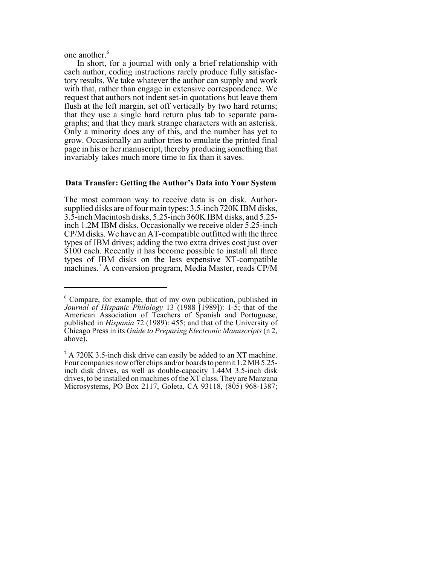one another.<sup>6</sup>

In short, for a journal with only a brief relationship with each author, coding instructions rarely produce fully satisfactory results. We take whatever the author can supply and work with that, rather than engage in extensive correspondence. We request that authors not indent set-in quotations but leave them flush at the left margin, set off vertically by two hard returns; that they use a single hard return plus tab to separate paragraphs; and that they mark strange characters with an asterisk. Only a minority does any of this, and the number has yet to grow. Occasionally an author tries to emulate the printed final page in his or her manuscript, thereby producing something that invariably takes much more time to fix than it saves.

#### **Data Transfer: Getting the Author's Data into Your System**

The most common way to receive data is on disk. Authorsupplied disks are of four main types: 3.5-inch 720K IBM disks, 3.5-inch Macintosh disks, 5.25-inch 360K IBM disks, and 5.25 inch 1.2M IBM disks. Occasionally we receive older 5.25-inch CP/M disks. We have an AT-compatible outfitted with the three types of IBM drives; adding the two extra drives cost just over \$100 each. Recently it has become possible to install all three types of IBM disks on the less expensive XT-compatible machines.7 A conversion program, Media Master, reads CP/M

<sup>6</sup> Compare, for example, that of my own publication, published in *Journal of Hispanic Philology* 13 (1988 [1989]): 1-5; that of the American Association of Teachers of Spanish and Portuguese, published in *Hispania* 72 (1989): 455; and that of the University of Chicago Press in its *Guide to Preparing Electronic Manuscripts* (n 2, above).

 $7 A 720K 3.5$ -inch disk drive can easily be added to an XT machine. Four companies now offer chips and/or boards to permit 1.2 MB 5.25 inch disk drives, as well as double-capacity 1.44M 3.5-inch disk drives, to be installed on machines of the XT class. They are Manzana Microsystems, PO Box 2117, Goleta, CA 93118, (805) 968-1387;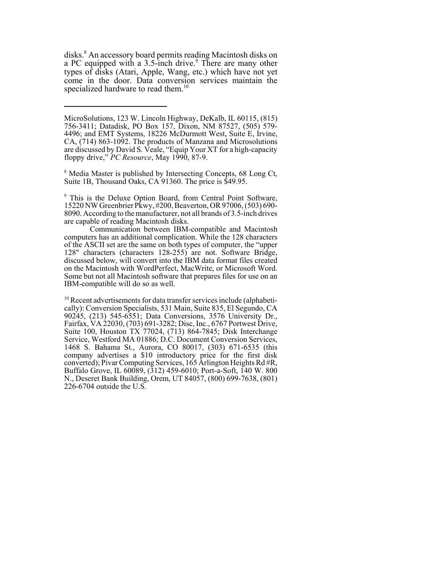disks.<sup>8</sup> An accessory board permits reading Macintosh disks on a PC equipped with a 3.5-inch drive.<sup>9</sup> There are many other types of disks (Atari, Apple, Wang, etc.) which have not yet come in the door. Data conversion services maintain the specialized hardware to read them.<sup>10</sup>

<sup>8</sup> Media Master is published by Intersecting Concepts, 68 Long Ct, Suite 1B, Thousand Oaks, CA 91360. The price is \$49.95.

<sup>9</sup> This is the Deluxe Option Board, from Central Point Software, 15220 NW Greenbrier Pkwy, #200, Beaverton, OR 97006, (503) 690- 8090. According to the manufacturer, not all brands of 3.5-inch drives are capable of reading Macintosh disks.

Communication between IBM-compatible and Macintosh computers has an additional complication. While the 128 characters of the ASCII set are the same on both types of computer, the "upper 128" characters (characters 128-255) are not. Software Bridge, discussed below, will convert into the IBM data format files created on the Macintosh with WordPerfect, MacWrite, or Microsoft Word. Some but not all Macintosh software that prepares files for use on an IBM-compatible will do so as well.

<sup>10</sup> Recent advertisements for data transfer services include (alphabetically): Conversion Specialists, 531 Main, Suite 835, El Segundo, CA 90245, (213) 545-6551; Data Conversions, 3576 University Dr., Fairfax, VA 22030, (703) 691-3282; Disc, Inc., 6767 Portwest Drive, Suite 100, Houston TX 77024, (713) 864-7845; Disk Interchange Service, Westford MA 01886; D.C. Document Conversion Services, 1468 S. Bahama St., Aurora, CO 80017, (303) 671-6535 (this company advertises a \$10 introductory price for the first disk converted); Pivar Computing Services, 165 Arlington Heights Rd #R, Buffalo Grove, IL 60089, (312) 459-6010; Port-a-Soft, 140 W. 800 N., Deseret Bank Building, Orem, UT 84057, (800) 699-7638, (801) 226-6704 outside the U.S.

MicroSolutions, 123 W. Lincoln Highway, DeKalb, IL 60115, (815) 756-3411; Datadisk, PO Box 157, Dixon, NM 87527, (505) 579- 4496; and EMT Systems, 18226 McDurmott West, Suite E, Irvine, CA, (714) 863-1092. The products of Manzana and Microsolutions are discussed by David S. Veale, "Equip Your XT for a high-capacity floppy drive," *PC Resource*, May 1990, 87-9.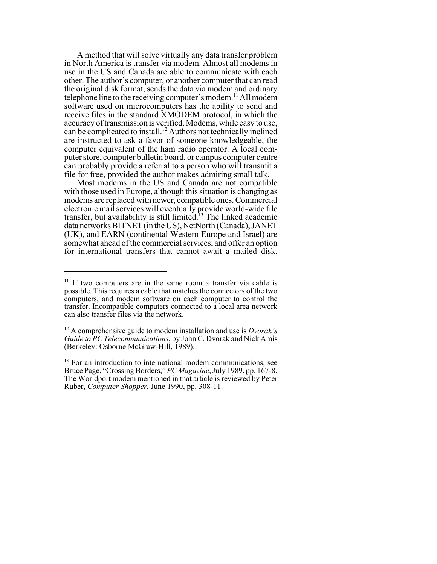A method that will solve virtually any data transfer problem in North America is transfer via modem. Almost all modems in use in the US and Canada are able to communicate with each other. The author's computer, or another computer that can read the original disk format, sends the data via modem and ordinary telephone line to the receiving computer's modem.<sup>11</sup> All modem software used on microcomputers has the ability to send and receive files in the standard XMODEM protocol, in which the accuracy of transmission is verified. Modems, while easy to use, can be complicated to install.<sup>12</sup> Authors not technically inclined are instructed to ask a favor of someone knowledgeable, the computer equivalent of the ham radio operator. A local computer store, computer bulletin board, or campus computer centre can probably provide a referral to a person who will transmit a file for free, provided the author makes admiring small talk.

Most modems in the US and Canada are not compatible with those used in Europe, although this situation is changing as modems are replaced with newer, compatible ones. Commercial electronic mail services will eventually provide world-wide file transfer, but availability is still limited.<sup>13</sup> The linked academic data networks BITNET (in the US), NetNorth (Canada), JANET (UK), and EARN (continental Western Europe and Israel) are somewhat ahead of the commercial services, and offer an option for international transfers that cannot await a mailed disk.

<sup>&</sup>lt;sup>11</sup> If two computers are in the same room a transfer via cable is possible. This requires a cable that matches the connectors of the two computers, and modem software on each computer to control the transfer. Incompatible computers connected to a local area network can also transfer files via the network.

<sup>12</sup> A comprehensive guide to modem installation and use is *Dvorak's Guide to PC Telecommunications*, by John C. Dvorak and Nick Amis (Berkeley: Osborne McGraw-Hill, 1989).

 $13$  For an introduction to international modem communications, see Bruce Page, "Crossing Borders," *PC Magazine*, July 1989, pp. 167-8. The Worldport modem mentioned in that article is reviewed by Peter Ruber, *Computer Shopper*, June 1990, pp. 308-11.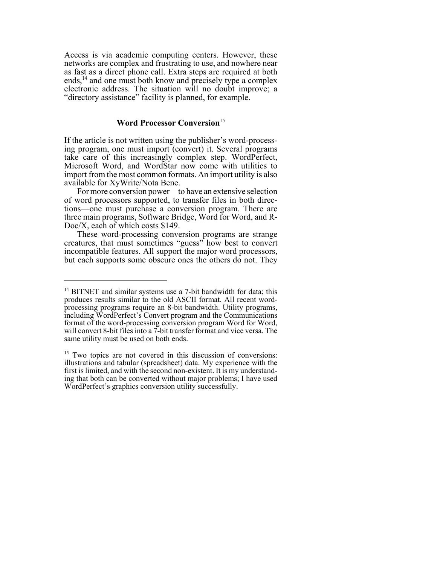Access is via academic computing centers. However, these networks are complex and frustrating to use, and nowhere near as fast as a direct phone call. Extra steps are required at both ends, $^{14}$  and one must both know and precisely type a complex electronic address. The situation will no doubt improve; a "directory assistance" facility is planned, for example.

# **Word Processor Conversion**<sup>15</sup>

If the article is not written using the publisher's word-processing program, one must import (convert) it. Several programs take care of this increasingly complex step. WordPerfect, Microsoft Word, and WordStar now come with utilities to import from the most common formats. An import utility is also available for XyWrite/Nota Bene.

For more conversion power—to have an extensive selection of word processors supported, to transfer files in both directions—one must purchase a conversion program. There are three main programs, Software Bridge, Word for Word, and R-Doc/X, each of which costs \$149.

These word-processing conversion programs are strange creatures, that must sometimes "guess" how best to convert incompatible features. All support the major word processors, but each supports some obscure ones the others do not. They

<sup>&</sup>lt;sup>14</sup> BITNET and similar systems use a 7-bit bandwidth for data; this produces results similar to the old ASCII format. All recent wordprocessing programs require an 8-bit bandwidth. Utility programs, including WordPerfect's Convert program and the Communications format of the word-processing conversion program Word for Word, will convert 8-bit files into a 7-bit transfer format and vice versa. The same utility must be used on both ends.

<sup>&</sup>lt;sup>15</sup> Two topics are not covered in this discussion of conversions: illustrations and tabular (spreadsheet) data. My experience with the first is limited, and with the second non-existent. It is my understanding that both can be converted without major problems; I have used WordPerfect's graphics conversion utility successfully.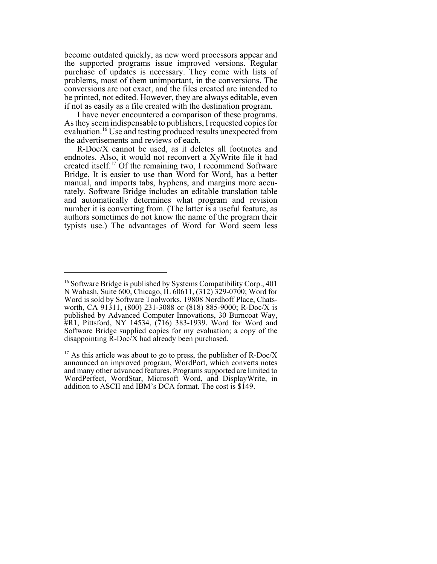become outdated quickly, as new word processors appear and the supported programs issue improved versions. Regular purchase of updates is necessary. They come with lists of problems, most of them unimportant, in the conversions. The conversions are not exact, and the files created are intended to be printed, not edited. However, they are always editable, even if not as easily as a file created with the destination program.

I have never encountered a comparison of these programs. As they seem indispensable to publishers, I requested copies for evaluation.16 Use and testing produced results unexpected from the advertisements and reviews of each.

R-Doc/X cannot be used, as it deletes all footnotes and endnotes. Also, it would not reconvert a XyWrite file it had created itself.<sup>17</sup> Of the remaining two, I recommend Software Bridge. It is easier to use than Word for Word, has a better manual, and imports tabs, hyphens, and margins more accurately. Software Bridge includes an editable translation table and automatically determines what program and revision number it is converting from. (The latter is a useful feature, as authors sometimes do not know the name of the program their typists use.) The advantages of Word for Word seem less

<sup>&</sup>lt;sup>16</sup> Software Bridge is published by Systems Compatibility Corp., 401 N Wabash, Suite 600, Chicago, IL 60611, (312) 329-0700; Word for Word is sold by Software Toolworks, 19808 Nordhoff Place, Chatsworth, CA 91311, (800) 231-3088 or (818) 885-9000; R-Doc/X is published by Advanced Computer Innovations, 30 Burncoat Way, #R1, Pittsford, NY 14534, (716) 383-1939. Word for Word and Software Bridge supplied copies for my evaluation; a copy of the disappointing R-Doc/X had already been purchased.

<sup>&</sup>lt;sup>17</sup> As this article was about to go to press, the publisher of R-Doc/X announced an improved program, WordPort, which converts notes and many other advanced features. Programs supported are limited to WordPerfect, WordStar, Microsoft Word, and DisplayWrite, in addition to ASCII and IBM's DCA format. The cost is \$149.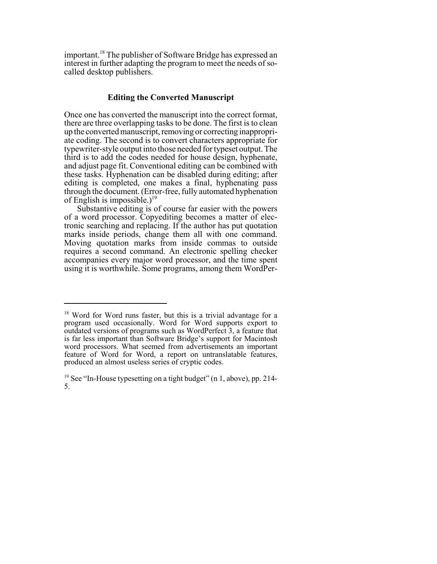important.18 The publisher of Software Bridge has expressed an interest in further adapting the program to meet the needs of socalled desktop publishers.

# **Editing the Converted Manuscript**

Once one has converted the manuscript into the correct format, there are three overlapping tasks to be done. The first is to clean up the converted manuscript, removing or correcting inappropriate coding. The second is to convert characters appropriate for typewriter-style output into those needed for typeset output. The third is to add the codes needed for house design, hyphenate, and adjust page fit. Conventional editing can be combined with these tasks. Hyphenation can be disabled during editing; after editing is completed, one makes a final, hyphenating pass through the document. (Error-free, fully automated hyphenation of English is impossible.)<sup>19</sup>

Substantive editing is of course far easier with the powers of a word processor. Copyediting becomes a matter of electronic searching and replacing. If the author has put quotation marks inside periods, change them all with one command. Moving quotation marks from inside commas to outside requires a second command. An electronic spelling checker accompanies every major word processor, and the time spent using it is worthwhile. Some programs, among them WordPer-

<sup>&</sup>lt;sup>18</sup> Word for Word runs faster, but this is a trivial advantage for a program used occasionally. Word for Word supports export to outdated versions of programs such as WordPerfect 3, a feature that is far less important than Software Bridge's support for Macintosh word processors. What seemed from advertisements an important feature of Word for Word, a report on untranslatable features, produced an almost useless series of cryptic codes.

<sup>&</sup>lt;sup>19</sup> See "In-House typesetting on a tight budget" (n 1, above), pp. 214-5.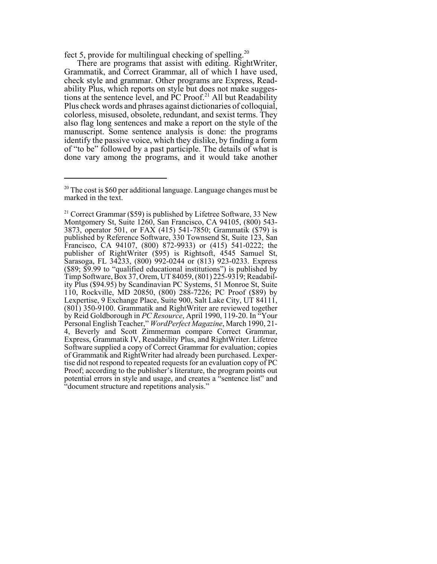fect 5, provide for multilingual checking of spelling.20

There are programs that assist with editing. RightWriter, Grammatik, and Correct Grammar, all of which I have used, check style and grammar. Other programs are Express, Readability Plus, which reports on style but does not make suggestions at the sentence level, and PC Proof.<sup>21</sup> All but Readability Plus check words and phrases against dictionaries of colloquial, colorless, misused, obsolete, redundant, and sexist terms. They also flag long sentences and make a report on the style of the manuscript. Some sentence analysis is done: the programs identify the passive voice, which they dislike, by finding a form of "to be" followed by a past participle. The details of what is done vary among the programs, and it would take another

<sup>&</sup>lt;sup>20</sup> The cost is \$60 per additional language. Language changes must be marked in the text.

<sup>&</sup>lt;sup>21</sup> Correct Grammar (\$59) is published by Lifetree Software, 33 New Montgomery St, Suite 1260, San Francisco, CA 94105, (800) 543-3873, operator 501, or FAX (415) 541-7850; Grammatik (\$79) is published by Reference Software, 330 Townsend St, Suite 123, San Francisco, CA 94107, (800) 872-9933) or  $(415)$  541-0222; the publisher of RightWriter (\$95) is Rightsoft, 4545 Samuel St, Sarasoga, FL 34233, (800) 992-0244 or (813) 923-0233. Express (\$89; \$9.99 to "qualified educational institutions") is published by Timp Software, Box 37, Orem, UT 84059, (801) 225-9319; Readability Plus (\$94.95) by Scandinavian PC Systems, 51 Monroe St, Suite 110, Rockville, MD 20850, (800) 288-7226; PC Proof (\$89) by Lexpertise, 9 Exchange Place, Suite 900, Salt Lake City, UT 84111, (801) 350-9100. Grammatik and RightWriter are reviewed together by Reid Goldborough in *PC Resource*, April 1990, 119-20. In "Your Personal English Teacher," *WordPerfect Magazine*, March 1990, 21- 4, Beverly and Scott Zimmerman compare Correct Grammar, Express, Grammatik IV, Readability Plus, and RightWriter. Lifetree Software supplied a copy of Correct Grammar for evaluation; copies of Grammatik and RightWriter had already been purchased. Lexpertise did not respond to repeated requests for an evaluation copy of PC Proof; according to the publisher's literature, the program points out potential errors in style and usage, and creates a "sentence list" and "document structure and repetitions analysis."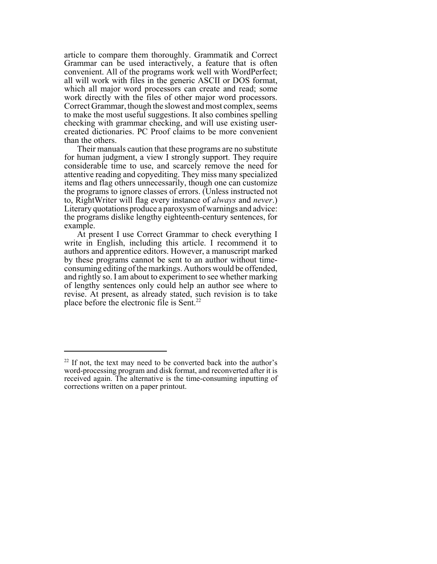article to compare them thoroughly. Grammatik and Correct Grammar can be used interactively, a feature that is often convenient. All of the programs work well with WordPerfect; all will work with files in the generic ASCII or DOS format, which all major word processors can create and read; some work directly with the files of other major word processors. Correct Grammar, though the slowest and most complex, seems to make the most useful suggestions. It also combines spelling checking with grammar checking, and will use existing usercreated dictionaries. PC Proof claims to be more convenient than the others.

Their manuals caution that these programs are no substitute for human judgment, a view I strongly support. They require considerable time to use, and scarcely remove the need for attentive reading and copyediting. They miss many specialized items and flag others unnecessarily, though one can customize the programs to ignore classes of errors. (Unless instructed not to, RightWriter will flag every instance of *always* and *never*.) Literary quotations produce a paroxysm of warnings and advice: the programs dislike lengthy eighteenth-century sentences, for example.

At present I use Correct Grammar to check everything I write in English, including this article. I recommend it to authors and apprentice editors. However, a manuscript marked by these programs cannot be sent to an author without timeconsuming editing of the markings. Authors would be offended, and rightly so. I am about to experiment to see whether marking of lengthy sentences only could help an author see where to revise. At present, as already stated, such revision is to take place before the electronic file is Sent.<sup>22</sup>

 $22$  If not, the text may need to be converted back into the author's word-processing program and disk format, and reconverted after it is received again. The alternative is the time-consuming inputting of corrections written on a paper printout.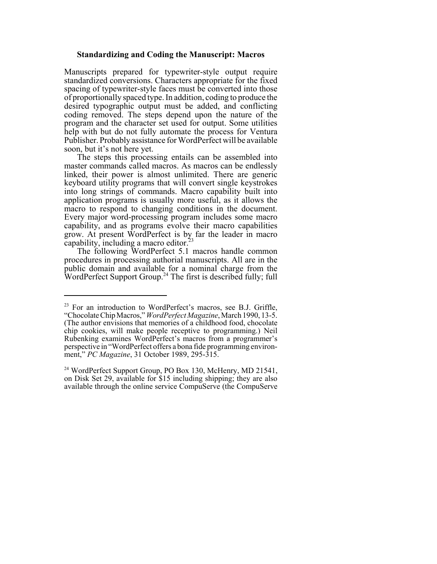### **Standardizing and Coding the Manuscript: Macros**

Manuscripts prepared for typewriter-style output require standardized conversions. Characters appropriate for the fixed spacing of typewriter-style faces must be converted into those of proportionally spaced type. In addition, coding to produce the desired typographic output must be added, and conflicting coding removed. The steps depend upon the nature of the program and the character set used for output. Some utilities help with but do not fully automate the process for Ventura Publisher. Probably assistance for WordPerfect will be available soon, but it's not here yet.

The steps this processing entails can be assembled into master commands called macros. As macros can be endlessly linked, their power is almost unlimited. There are generic keyboard utility programs that will convert single keystrokes into long strings of commands. Macro capability built into application programs is usually more useful, as it allows the macro to respond to changing conditions in the document. Every major word-processing program includes some macro capability, and as programs evolve their macro capabilities grow. At present WordPerfect is by far the leader in macro capability, including a macro editor.<sup>2</sup>

The following WordPerfect 5.1 macros handle common procedures in processing authorial manuscripts. All are in the public domain and available for a nominal charge from the WordPerfect Support Group.<sup>24</sup> The first is described fully; full

<sup>&</sup>lt;sup>23</sup> For an introduction to WordPerfect's macros, see B.J. Griffle, "Chocolate Chip Macros," *WordPerfect Magazine*, March 1990, 13-5. (The author envisions that memories of a childhood food, chocolate chip cookies, will make people receptive to programming.) Neil Rubenking examines WordPerfect's macros from a programmer's perspective in "WordPerfect offers a bona fide programming environment," *PC Magazine*, 31 October 1989, 295-315.

 $^{24}$  WordPerfect Support Group, PO Box 130, McHenry, MD 21541, on Disk Set 29, available for \$15 including shipping; they are also available through the online service CompuServe (the CompuServe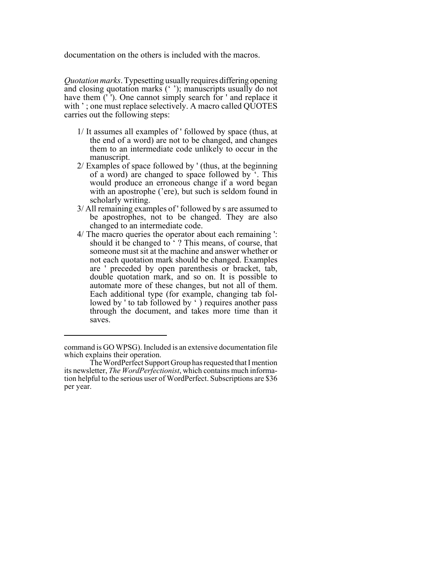documentation on the others is included with the macros.

*Quotation marks*. Typesetting usually requires differing opening and closing quotation marks (' '); manuscripts usually do not have them ('). One cannot simply search for ' and replace it with '; one must replace selectively. A macro called QUOTES carries out the following steps:

- 1/ It assumes all examples of ' followed by space (thus, at the end of a word) are not to be changed, and changes them to an intermediate code unlikely to occur in the manuscript.
- 2/ Examples of space followed by ' (thus, at the beginning of a word) are changed to space followed by '. This would produce an erroneous change if a word began with an apostrophe ('ere), but such is seldom found in scholarly writing.
- 3/ All remaining examples of ' followed by s are assumed to be apostrophes, not to be changed. They are also changed to an intermediate code.
- 4/ The macro queries the operator about each remaining ': should it be changed to ' ? This means, of course, that someone must sit at the machine and answer whether or not each quotation mark should be changed. Examples are ' preceded by open parenthesis or bracket, tab, double quotation mark, and so on. It is possible to automate more of these changes, but not all of them. Each additional type (for example, changing tab followed by ' to tab followed by ' ) requires another pass through the document, and takes more time than it saves.

command is GO WPSG). Included is an extensive documentation file which explains their operation.

The WordPerfect Support Group has requested that I mention its newsletter, *The WordPerfectionist*, which contains much information helpful to the serious user of WordPerfect. Subscriptions are \$36 per year.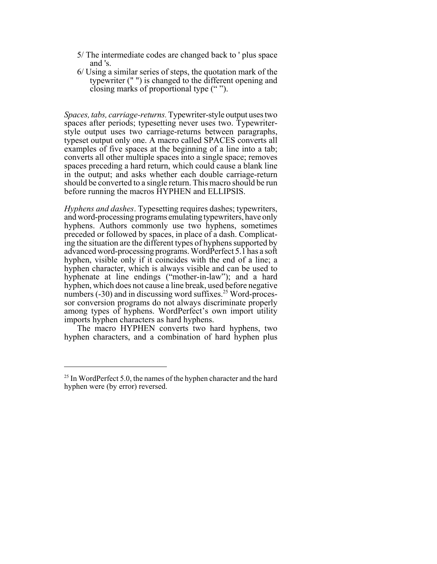- 5/ The intermediate codes are changed back to ' plus space and 's.
- 6/ Using a similar series of steps, the quotation mark of the typewriter (" ") is changed to the different opening and closing marks of proportional type (" ").

*Spaces, tabs, carriage-returns.* Typewriter-style output uses two spaces after periods; typesetting never uses two. Typewriterstyle output uses two carriage-returns between paragraphs, typeset output only one. A macro called SPACES converts all examples of five spaces at the beginning of a line into a tab; converts all other multiple spaces into a single space; removes spaces preceding a hard return, which could cause a blank line in the output; and asks whether each double carriage-return should be converted to a single return. This macro should be run before running the macros HYPHEN and ELLIPSIS.

*Hyphens and dashes*. Typesetting requires dashes; typewriters, and word-processing programs emulating typewriters, have only hyphens. Authors commonly use two hyphens, sometimes preceded or followed by spaces, in place of a dash. Complicating the situation are the different types of hyphens supported by advanced word-processing programs. WordPerfect 5.1 has a soft hyphen, visible only if it coincides with the end of a line; a hyphen character, which is always visible and can be used to hyphenate at line endings ("mother-in-law"); and a hard hyphen, which does not cause a line break, used before negative numbers  $(-30)$  and in discussing word suffixes.<sup>25</sup> Word-processor conversion programs do not always discriminate properly among types of hyphens. WordPerfect's own import utility imports hyphen characters as hard hyphens.

The macro HYPHEN converts two hard hyphens, two hyphen characters, and a combination of hard hyphen plus

 $25$  In WordPerfect 5.0, the names of the hyphen character and the hard hyphen were (by error) reversed.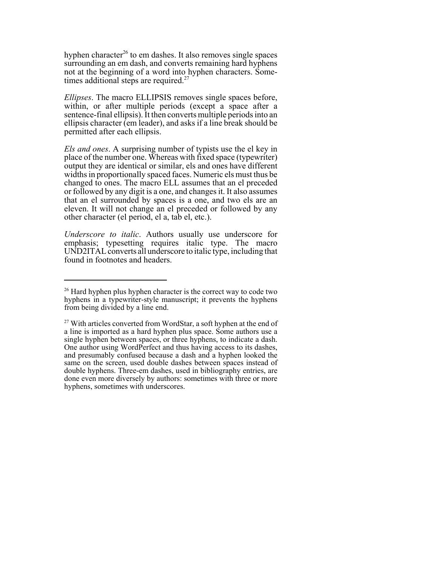hyphen character<sup>26</sup> to em dashes. It also removes single spaces surrounding an em dash, and converts remaining hard hyphens not at the beginning of a word into hyphen characters. Sometimes additional steps are required.<sup>27</sup>

*Ellipses*. The macro ELLIPSIS removes single spaces before, within, or after multiple periods (except a space after a sentence-final ellipsis). It then converts multiple periods into an ellipsis character (em leader), and asks if a line break should be permitted after each ellipsis.

*Els and ones*. A surprising number of typists use the el key in place of the number one. Whereas with fixed space (typewriter) output they are identical or similar, els and ones have different widths in proportionally spaced faces. Numeric els must thus be changed to ones. The macro ELL assumes that an el preceded or followed by any digit is a one, and changes it. It also assumes that an el surrounded by spaces is a one, and two els are an eleven. It will not change an el preceded or followed by any other character (el period, el a, tab el, etc.).

*Underscore to italic*. Authors usually use underscore for emphasis; typesetting requires italic type. The macro UND2ITAL converts all underscore to italic type, including that found in footnotes and headers.

 $26$  Hard hyphen plus hyphen character is the correct way to code two hyphens in a typewriter-style manuscript; it prevents the hyphens from being divided by a line end.

 $27$  With articles converted from WordStar, a soft hyphen at the end of a line is imported as a hard hyphen plus space. Some authors use a single hyphen between spaces, or three hyphens, to indicate a dash. One author using WordPerfect and thus having access to its dashes, and presumably confused because a dash and a hyphen looked the same on the screen, used double dashes between spaces instead of double hyphens. Three-em dashes, used in bibliography entries, are done even more diversely by authors: sometimes with three or more hyphens, sometimes with underscores.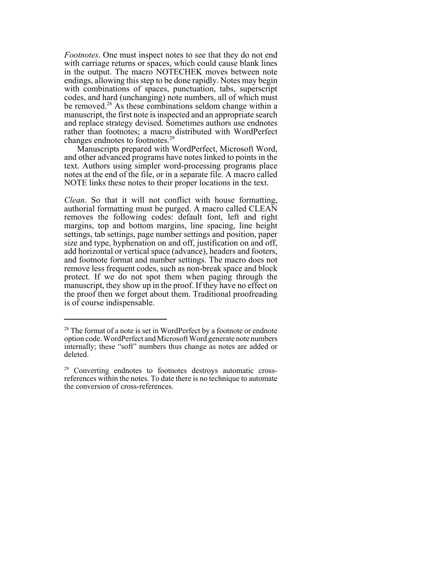*Footnotes*. One must inspect notes to see that they do not end with carriage returns or spaces, which could cause blank lines in the output. The macro NOTECHEK moves between note endings, allowing this step to be done rapidly. Notes may begin with combinations of spaces, punctuation, tabs, superscript codes, and hard (unchanging) note numbers, all of which must be removed.<sup>28</sup> As these combinations seldom change within a manuscript, the first note is inspected and an appropriate search and replace strategy devised. Sometimes authors use endnotes rather than footnotes; a macro distributed with WordPerfect changes endnotes to footnotes.<sup>29</sup>

Manuscripts prepared with WordPerfect, Microsoft Word, and other advanced programs have notes linked to points in the text. Authors using simpler word-processing programs place notes at the end of the file, or in a separate file. A macro called NOTE links these notes to their proper locations in the text.

*Clean*. So that it will not conflict with house formatting, authorial formatting must be purged. A macro called CLEAN removes the following codes: default font, left and right margins, top and bottom margins, line spacing, line height settings, tab settings, page number settings and position, paper size and type, hyphenation on and off, justification on and off, add horizontal or vertical space (advance), headers and footers, and footnote format and number settings. The macro does not remove less frequent codes, such as non-break space and block protect. If we do not spot them when paging through the manuscript, they show up in the proof. If they have no effect on the proof then we forget about them. Traditional proofreading is of course indispensable.

<sup>&</sup>lt;sup>28</sup> The format of a note is set in WordPerfect by a footnote or endnote option code. WordPerfect and Microsoft Word generate note numbers internally; these "soft" numbers thus change as notes are added or deleted.

<sup>&</sup>lt;sup>29</sup> Converting endnotes to footnotes destroys automatic crossreferences within the notes. To date there is no technique to automate the conversion of cross-references.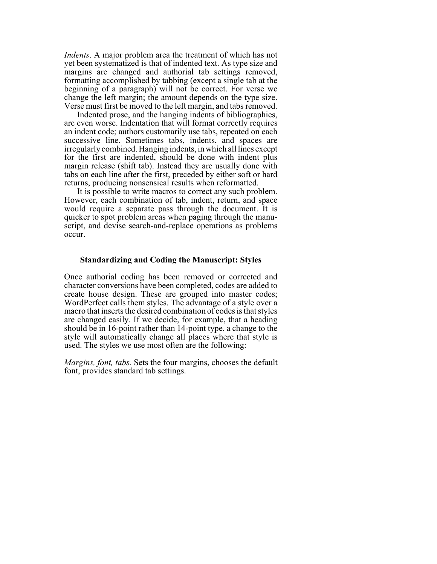*Indents*. A major problem area the treatment of which has not yet been systematized is that of indented text. As type size and margins are changed and authorial tab settings removed, formatting accomplished by tabbing (except a single tab at the beginning of a paragraph) will not be correct. For verse we change the left margin; the amount depends on the type size. Verse must first be moved to the left margin, and tabs removed.

Indented prose, and the hanging indents of bibliographies, are even worse. Indentation that will format correctly requires an indent code; authors customarily use tabs, repeated on each successive line. Sometimes tabs, indents, and spaces are irregularly combined. Hanging indents, in which all lines except for the first are indented, should be done with indent plus margin release (shift tab). Instead they are usually done with tabs on each line after the first, preceded by either soft or hard returns, producing nonsensical results when reformatted.

It is possible to write macros to correct any such problem. However, each combination of tab, indent, return, and space would require a separate pass through the document. It is quicker to spot problem areas when paging through the manuscript, and devise search-and-replace operations as problems occur.

#### **Standardizing and Coding the Manuscript: Styles**

Once authorial coding has been removed or corrected and character conversions have been completed, codes are added to create house design. These are grouped into master codes; WordPerfect calls them styles. The advantage of a style over a macro that inserts the desired combination of codes is that styles are changed easily. If we decide, for example, that a heading should be in 16-point rather than 14-point type, a change to the style will automatically change all places where that style is used. The styles we use most often are the following:

*Margins, font, tabs.* Sets the four margins, chooses the default font, provides standard tab settings.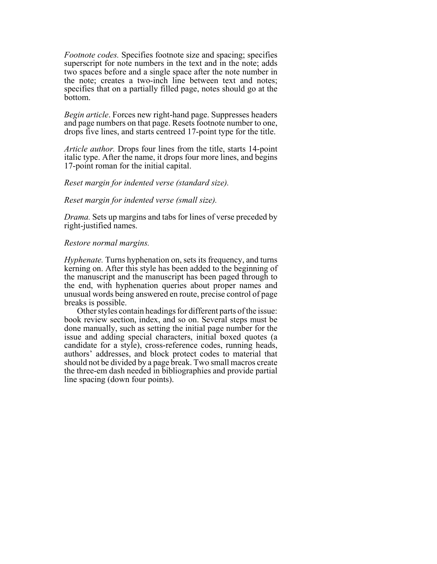*Footnote codes.* Specifies footnote size and spacing; specifies superscript for note numbers in the text and in the note; adds two spaces before and a single space after the note number in the note; creates a two-inch line between text and notes; specifies that on a partially filled page, notes should go at the bottom.

*Begin article*. Forces new right-hand page. Suppresses headers and page numbers on that page. Resets footnote number to one, drops five lines, and starts centreed 17-point type for the title.

*Article author.* Drops four lines from the title, starts 14-point italic type. After the name, it drops four more lines, and begins 17-point roman for the initial capital.

#### *Reset margin for indented verse (standard size).*

#### *Reset margin for indented verse (small size).*

*Drama.* Sets up margins and tabs for lines of verse preceded by right-justified names.

## *Restore normal margins.*

*Hyphenate.* Turns hyphenation on, sets its frequency, and turns kerning on. After this style has been added to the beginning of the manuscript and the manuscript has been paged through to the end, with hyphenation queries about proper names and unusual words being answered en route, precise control of page breaks is possible.

Other styles contain headings for different parts of the issue: book review section, index, and so on. Several steps must be done manually, such as setting the initial page number for the issue and adding special characters, initial boxed quotes (a candidate for a style), cross-reference codes, running heads, authors' addresses, and block protect codes to material that should not be divided by a page break. Two small macros create the three-em dash needed in bibliographies and provide partial line spacing (down four points).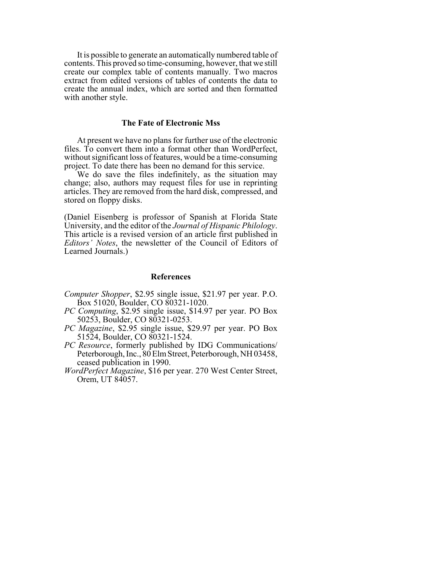It is possible to generate an automatically numbered table of contents. This proved so time-consuming, however, that we still create our complex table of contents manually. Two macros extract from edited versions of tables of contents the data to create the annual index, which are sorted and then formatted with another style.

#### **The Fate of Electronic Mss**

At present we have no plans for further use of the electronic files. To convert them into a format other than WordPerfect, without significant loss of features, would be a time-consuming project. To date there has been no demand for this service.

We do save the files indefinitely, as the situation may change; also, authors may request files for use in reprinting articles. They are removed from the hard disk, compressed, and stored on floppy disks.

(Daniel Eisenberg is professor of Spanish at Florida State University, and the editor of the *Journal of Hispanic Philology*. This article is a revised version of an article first published in *Editors' Notes*, the newsletter of the Council of Editors of Learned Journals.)

#### **References**

- *Computer Shopper*, \$2.95 single issue, \$21.97 per year. P.O. Box 51020, Boulder, CO 80321-1020.
- *PC Computing*, \$2.95 single issue, \$14.97 per year. PO Box 50253, Boulder, CO 80321-0253.
- *PC Magazine*, \$2.95 single issue, \$29.97 per year. PO Box 51524, Boulder, CO 80321-1524.
- *PC Resource*, formerly published by IDG Communications/ Peterborough, Inc., 80 Elm Street, Peterborough, NH 03458, ceased publication in 1990.
- *WordPerfect Magazine*, \$16 per year. 270 West Center Street, Orem, UT 84057.